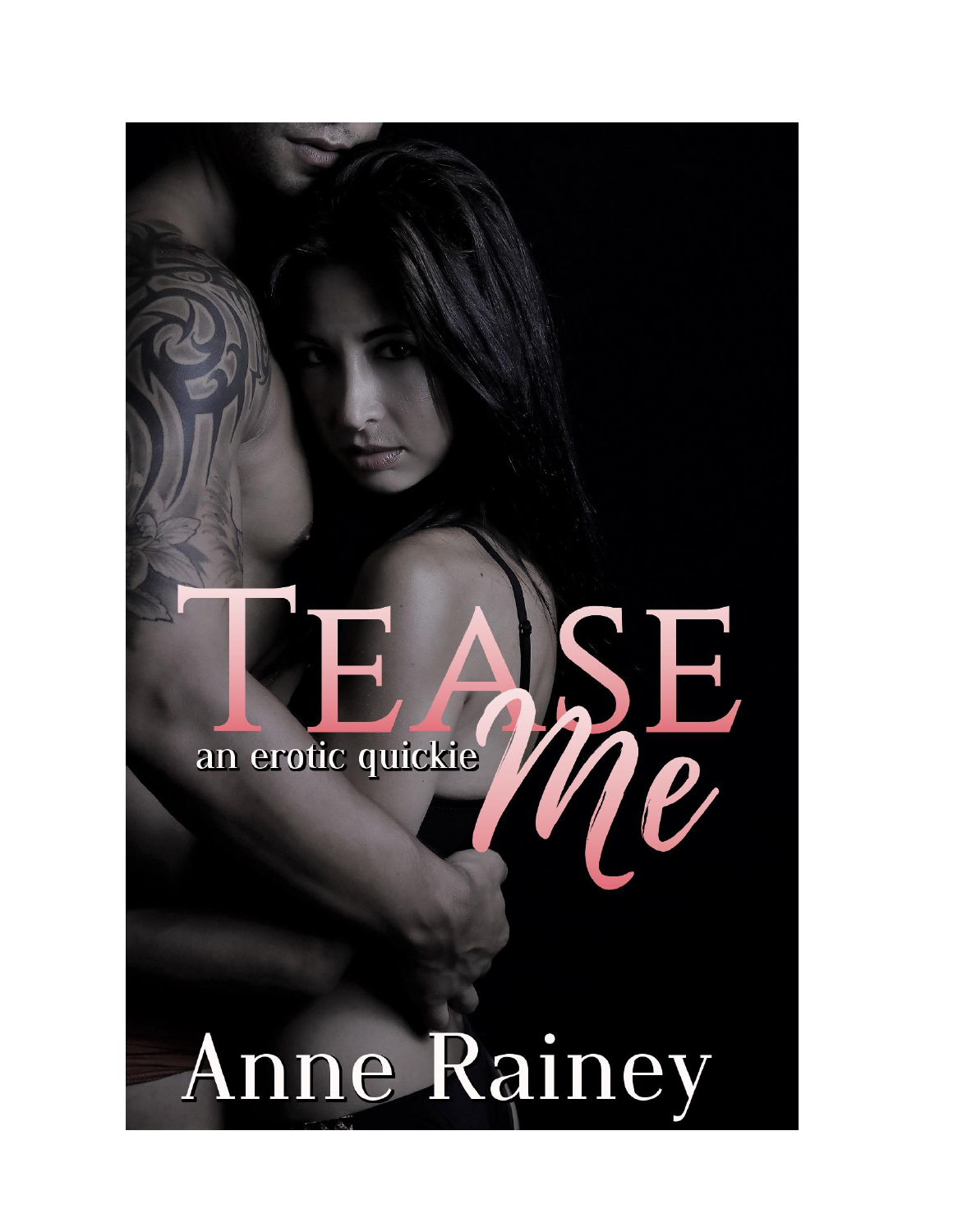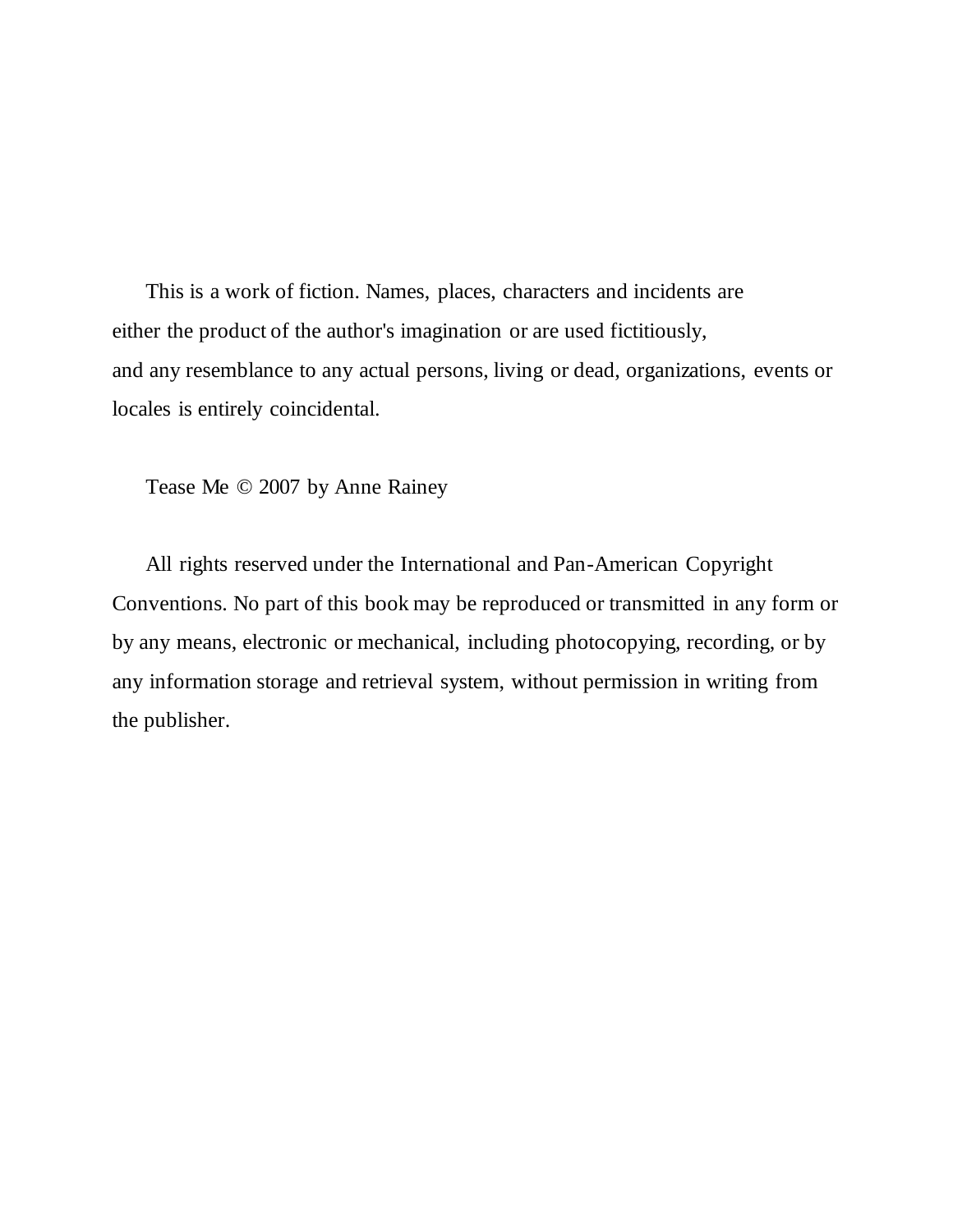This is a work of fiction. Names, places, characters and incidents are either the product of the author's imagination or are used fictitiously, and any resemblance to any actual persons, living or dead, organizations, events or locales is entirely coincidental.

Tease Me © 2007 by Anne Rainey

All rights reserved under the International and Pan-American Copyright Conventions. No part of this book may be reproduced or transmitted in any form or by any means, electronic or mechanical, including photocopying, recording, or by any information storage and retrieval system, without permission in writing from the publisher.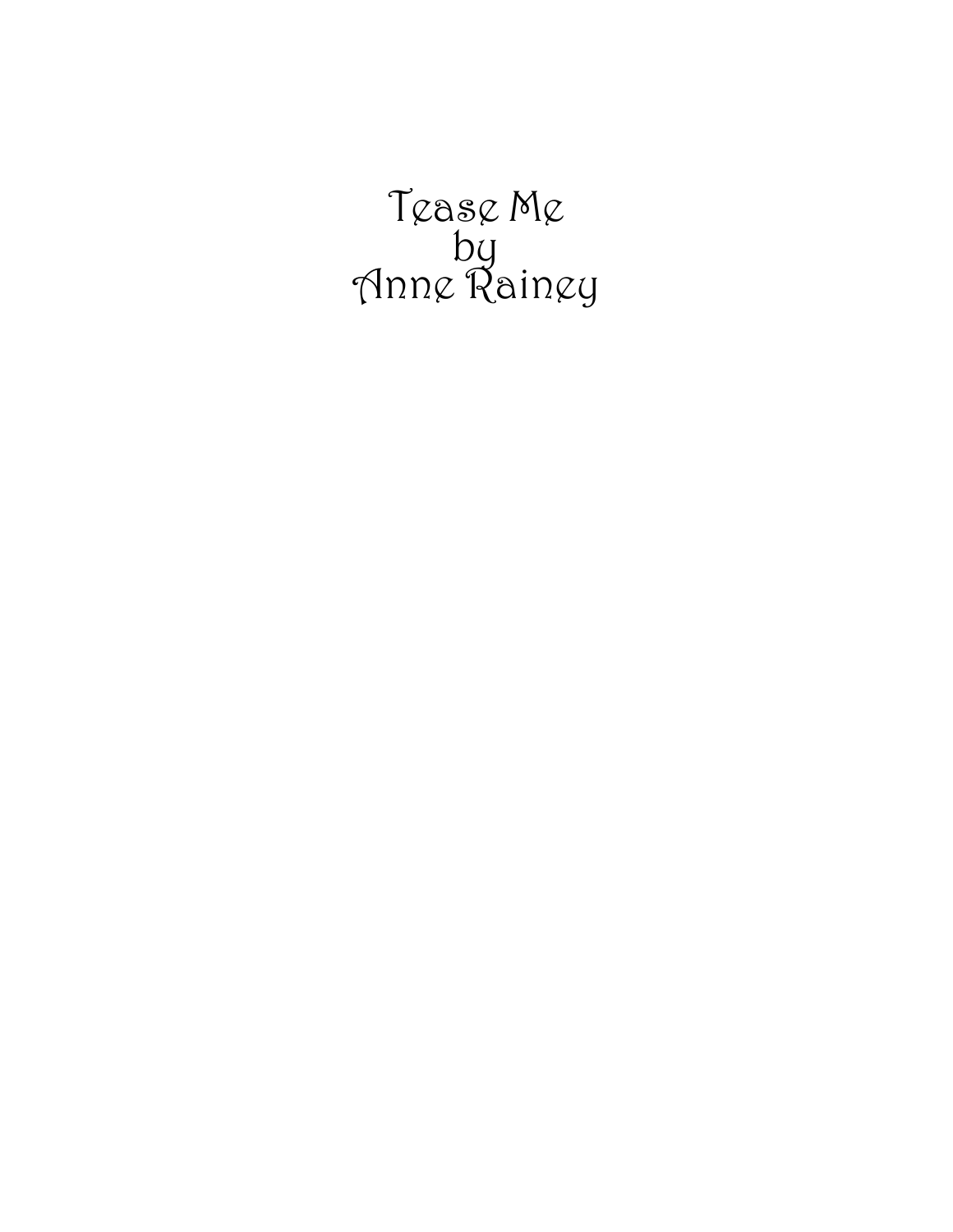Tease Me by Anne Rainey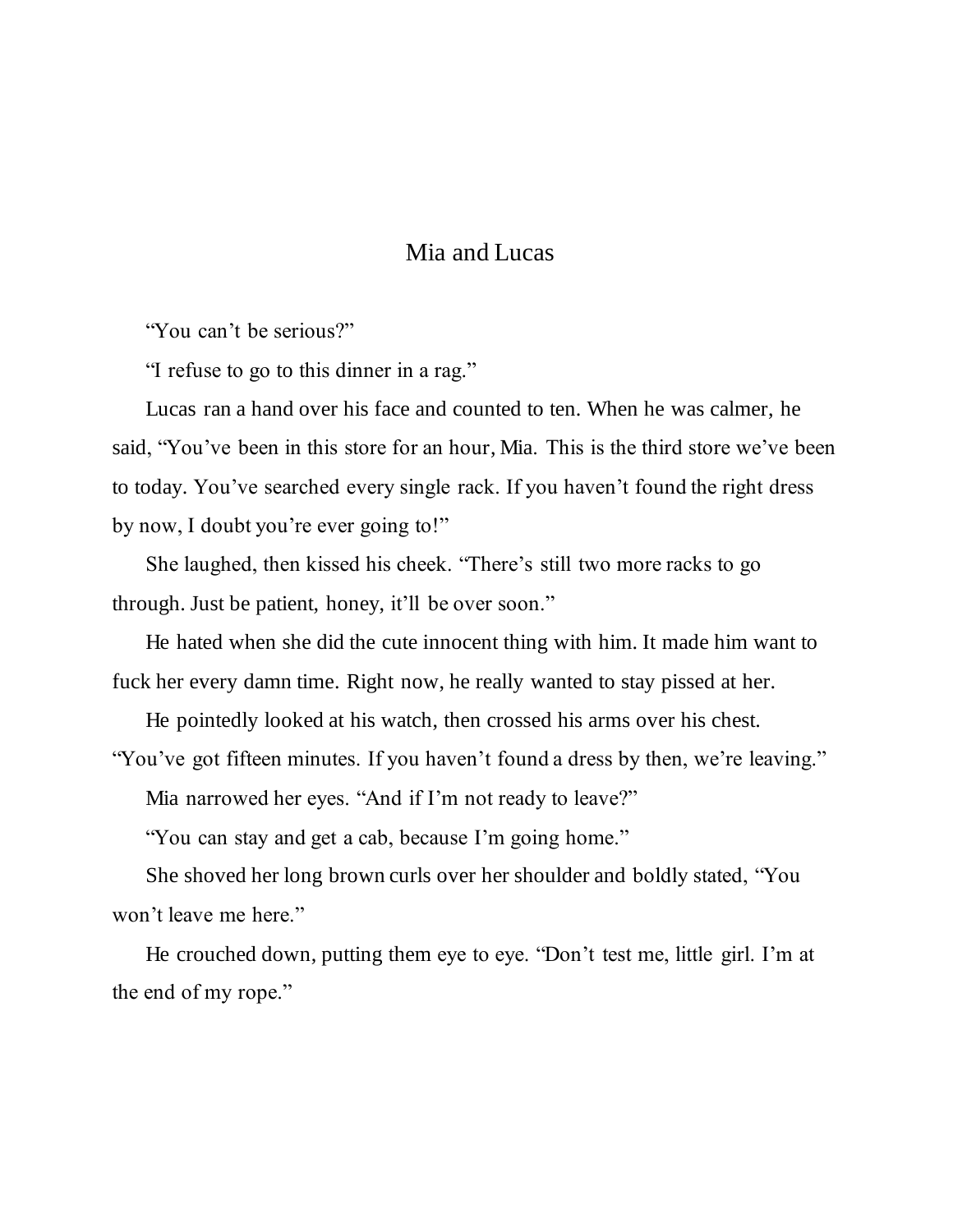## Mia and Lucas

"You can't be serious?"

"I refuse to go to this dinner in a rag."

Lucas ran a hand over his face and counted to ten. When he was calmer, he said, "You've been in this store for an hour, Mia. This is the third store we've been to today. You've searched every single rack. If you haven't found the right dress by now, I doubt you're ever going to!"

She laughed, then kissed his cheek. "There's still two more racks to go through. Just be patient, honey, it'll be over soon."

He hated when she did the cute innocent thing with him. It made him want to fuck her every damn time. Right now, he really wanted to stay pissed at her.

He pointedly looked at his watch, then crossed his arms over his chest. "You've got fifteen minutes. If you haven't found a dress by then, we're leaving."

Mia narrowed her eyes. "And if I'm not ready to leave?"

"You can stay and get a cab, because I'm going home."

She shoved her long brown curls over her shoulder and boldly stated, "You won't leave me here."

He crouched down, putting them eye to eye. "Don't test me, little girl. I'm at the end of my rope."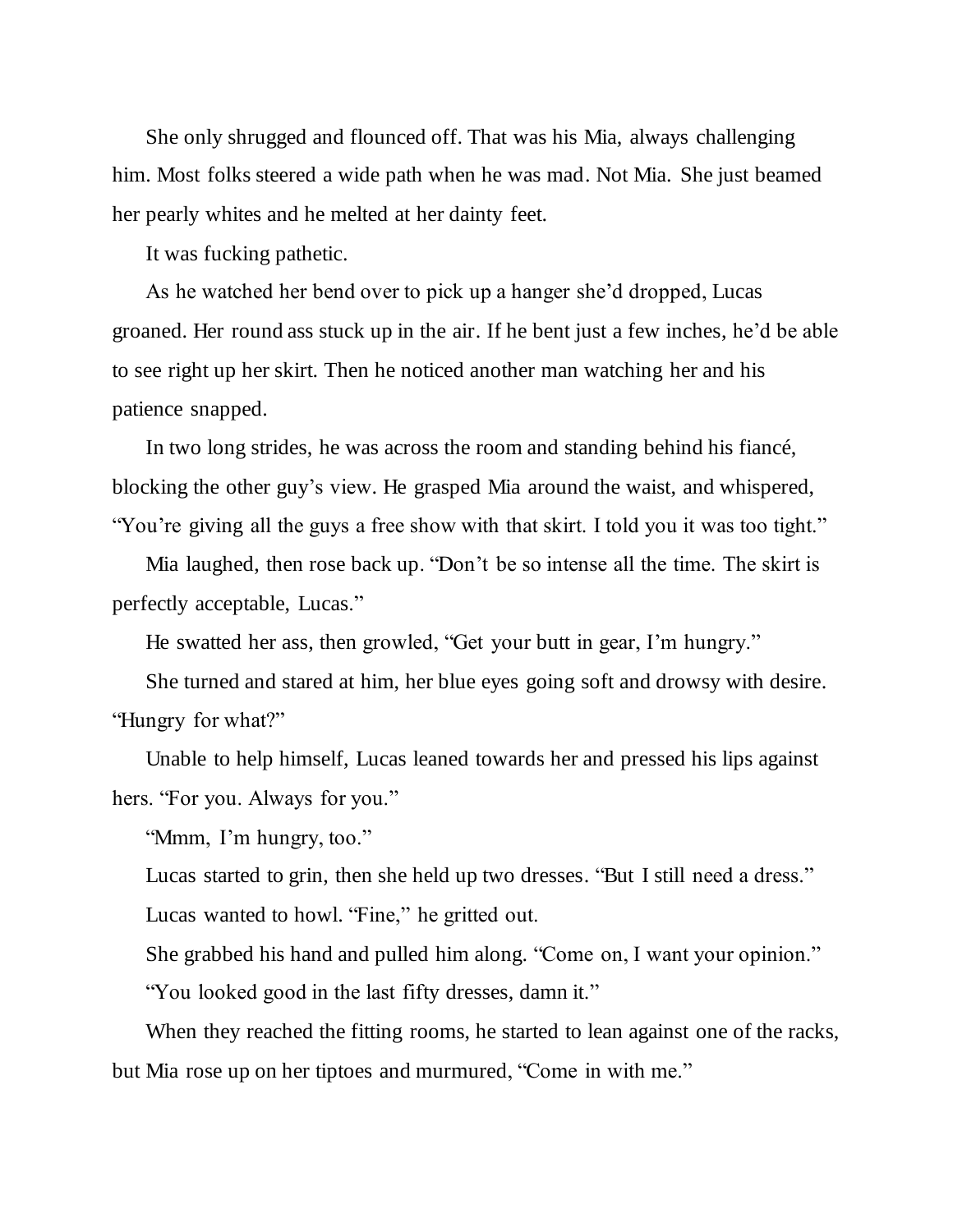She only shrugged and flounced off. That was his Mia, always challenging him. Most folks steered a wide path when he was mad. Not Mia. She just beamed her pearly whites and he melted at her dainty feet.

It was fucking pathetic.

As he watched her bend over to pick up a hanger she'd dropped, Lucas groaned. Her round ass stuck up in the air. If he bent just a few inches, he'd be able to see right up her skirt. Then he noticed another man watching her and his patience snapped.

In two long strides, he was across the room and standing behind his fiancé, blocking the other guy's view. He grasped Mia around the waist, and whispered, "You're giving all the guys a free show with that skirt. I told you it was too tight."

Mia laughed, then rose back up. "Don't be so intense all the time. The skirt is perfectly acceptable, Lucas."

He swatted her ass, then growled, "Get your butt in gear, I'm hungry."

She turned and stared at him, her blue eyes going soft and drowsy with desire. "Hungry for what?"

Unable to help himself, Lucas leaned towards her and pressed his lips against hers. "For you. Always for you."

"Mmm, I'm hungry, too."

Lucas started to grin, then she held up two dresses. "But I still need a dress."

Lucas wanted to howl. "Fine," he gritted out.

She grabbed his hand and pulled him along. "Come on, I want your opinion." "You looked good in the last fifty dresses, damn it."

When they reached the fitting rooms, he started to lean against one of the racks, but Mia rose up on her tiptoes and murmured, "Come in with me."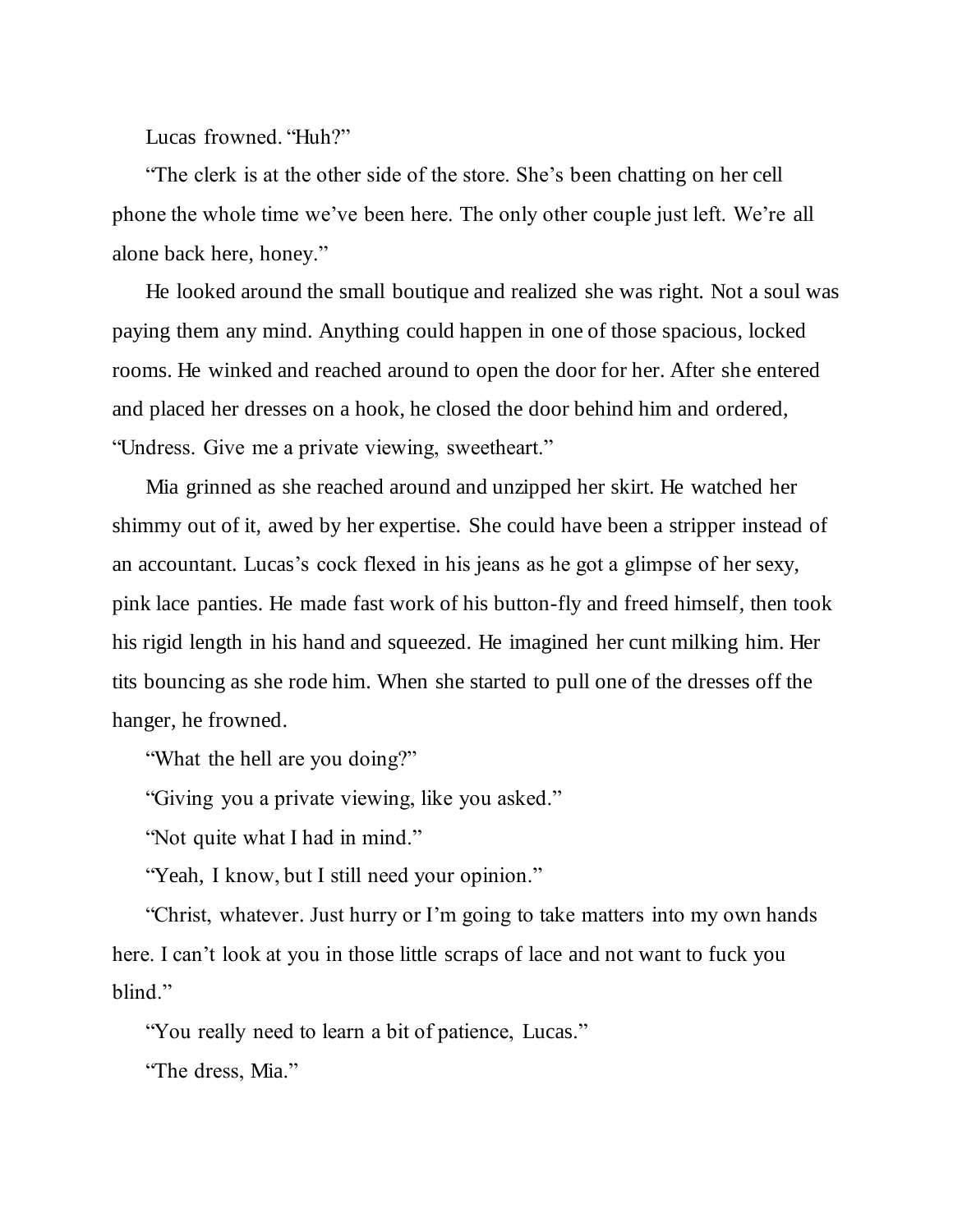Lucas frowned. "Huh?"

"The clerk is at the other side of the store. She's been chatting on her cell phone the whole time we've been here. The only other couple just left. We're all alone back here, honey."

He looked around the small boutique and realized she was right. Not a soul was paying them any mind. Anything could happen in one of those spacious, locked rooms. He winked and reached around to open the door for her. After she entered and placed her dresses on a hook, he closed the door behind him and ordered, "Undress. Give me a private viewing, sweetheart."

Mia grinned as she reached around and unzipped her skirt. He watched her shimmy out of it, awed by her expertise. She could have been a stripper instead of an accountant. Lucas's cock flexed in his jeans as he got a glimpse of her sexy, pink lace panties. He made fast work of his button-fly and freed himself, then took his rigid length in his hand and squeezed. He imagined her cunt milking him. Her tits bouncing as she rode him. When she started to pull one of the dresses off the hanger, he frowned.

"What the hell are you doing?"

"Giving you a private viewing, like you asked."

"Not quite what I had in mind."

"Yeah, I know, but I still need your opinion."

"Christ, whatever. Just hurry or I'm going to take matters into my own hands here. I can't look at you in those little scraps of lace and not want to fuck you blind."

"You really need to learn a bit of patience, Lucas."

"The dress, Mia."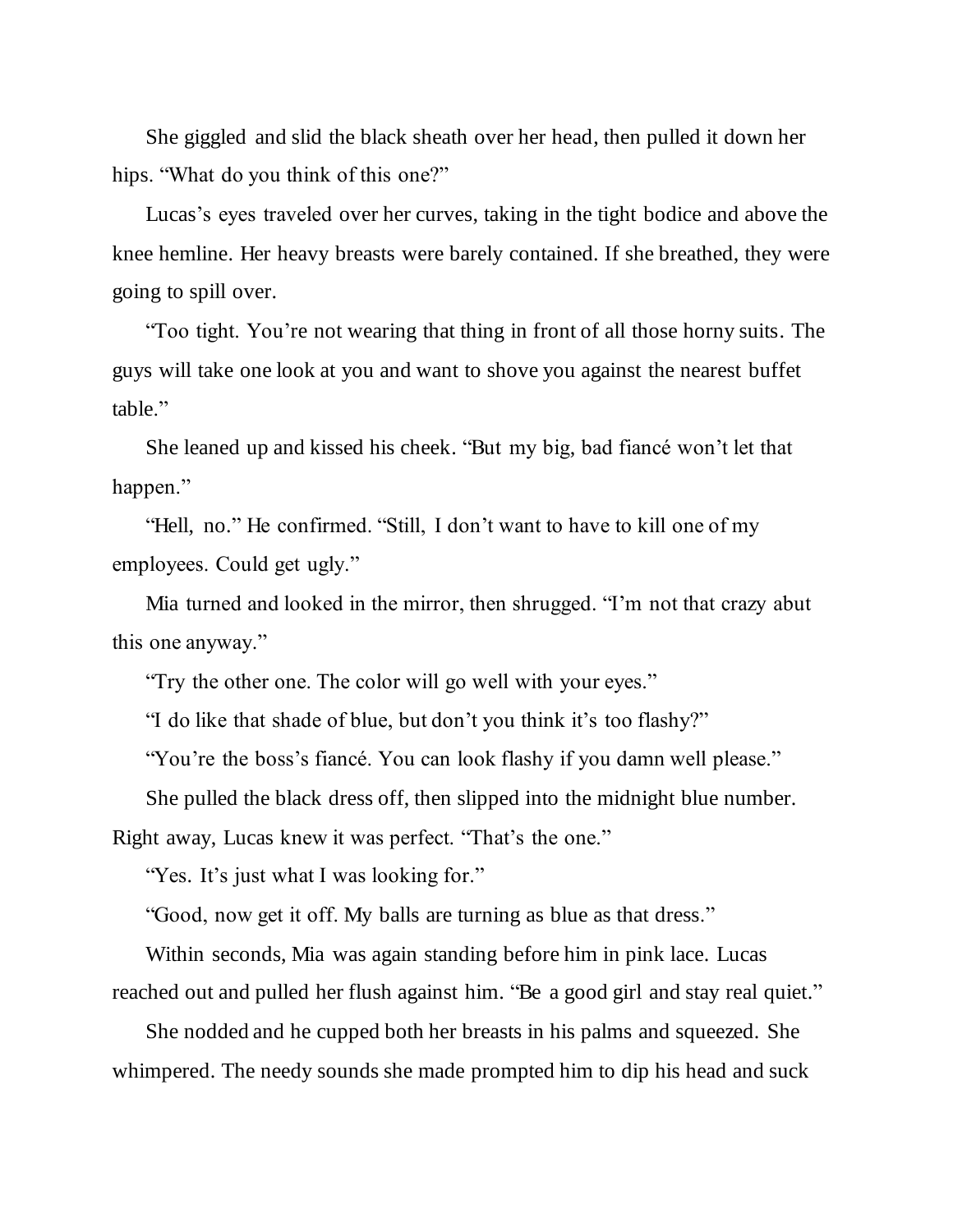She giggled and slid the black sheath over her head, then pulled it down her hips. "What do you think of this one?"

Lucas's eyes traveled over her curves, taking in the tight bodice and above the knee hemline. Her heavy breasts were barely contained. If she breathed, they were going to spill over.

"Too tight. You're not wearing that thing in front of all those horny suits. The guys will take one look at you and want to shove you against the nearest buffet table."

She leaned up and kissed his cheek. "But my big, bad fiancé won't let that happen."

"Hell, no." He confirmed. "Still, I don't want to have to kill one of my employees. Could get ugly."

Mia turned and looked in the mirror, then shrugged. "I'm not that crazy abut this one anyway."

"Try the other one. The color will go well with your eyes."

"I do like that shade of blue, but don't you think it's too flashy?"

"You're the boss's fiancé. You can look flashy if you damn well please."

She pulled the black dress off, then slipped into the midnight blue number.

Right away, Lucas knew it was perfect. "That's the one."

"Yes. It's just what I was looking for."

"Good, now get it off. My balls are turning as blue as that dress."

Within seconds, Mia was again standing before him in pink lace. Lucas reached out and pulled her flush against him. "Be a good girl and stay real quiet."

She nodded and he cupped both her breasts in his palms and squeezed. She whimpered. The needy sounds she made prompted him to dip his head and suck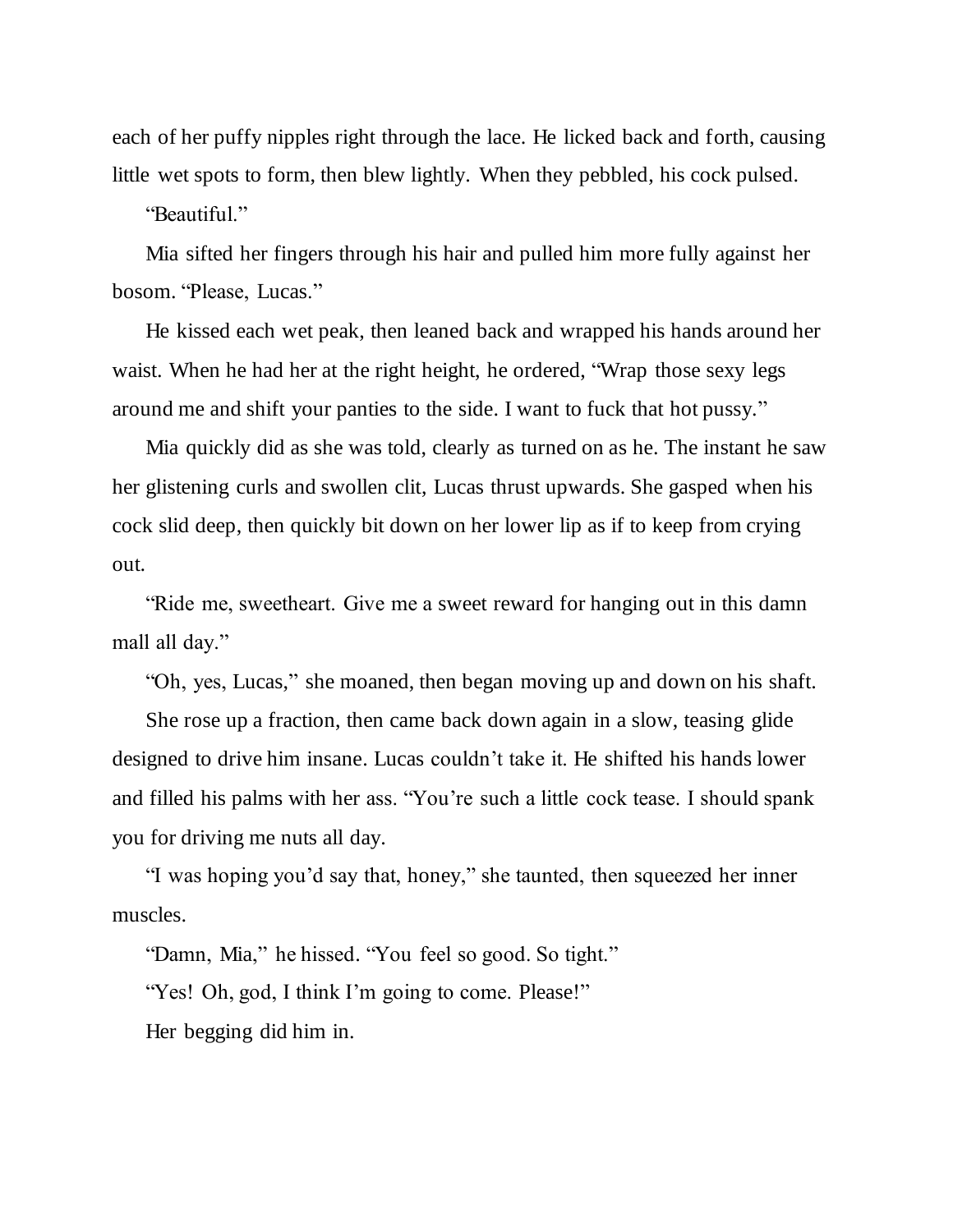each of her puffy nipples right through the lace. He licked back and forth, causing little wet spots to form, then blew lightly. When they pebbled, his cock pulsed.

"Beautiful."

Mia sifted her fingers through his hair and pulled him more fully against her bosom. "Please, Lucas."

He kissed each wet peak, then leaned back and wrapped his hands around her waist. When he had her at the right height, he ordered, "Wrap those sexy legs around me and shift your panties to the side. I want to fuck that hot pussy."

Mia quickly did as she was told, clearly as turned on as he. The instant he saw her glistening curls and swollen clit, Lucas thrust upwards. She gasped when his cock slid deep, then quickly bit down on her lower lip as if to keep from crying out.

"Ride me, sweetheart. Give me a sweet reward for hanging out in this damn mall all day."

"Oh, yes, Lucas," she moaned, then began moving up and down on his shaft.

She rose up a fraction, then came back down again in a slow, teasing glide designed to drive him insane. Lucas couldn't take it. He shifted his hands lower and filled his palms with her ass. "You're such a little cock tease. I should spank you for driving me nuts all day.

"I was hoping you'd say that, honey," she taunted, then squeezed her inner muscles.

"Damn, Mia," he hissed. "You feel so good. So tight." "Yes! Oh, god, I think I'm going to come. Please!" Her begging did him in.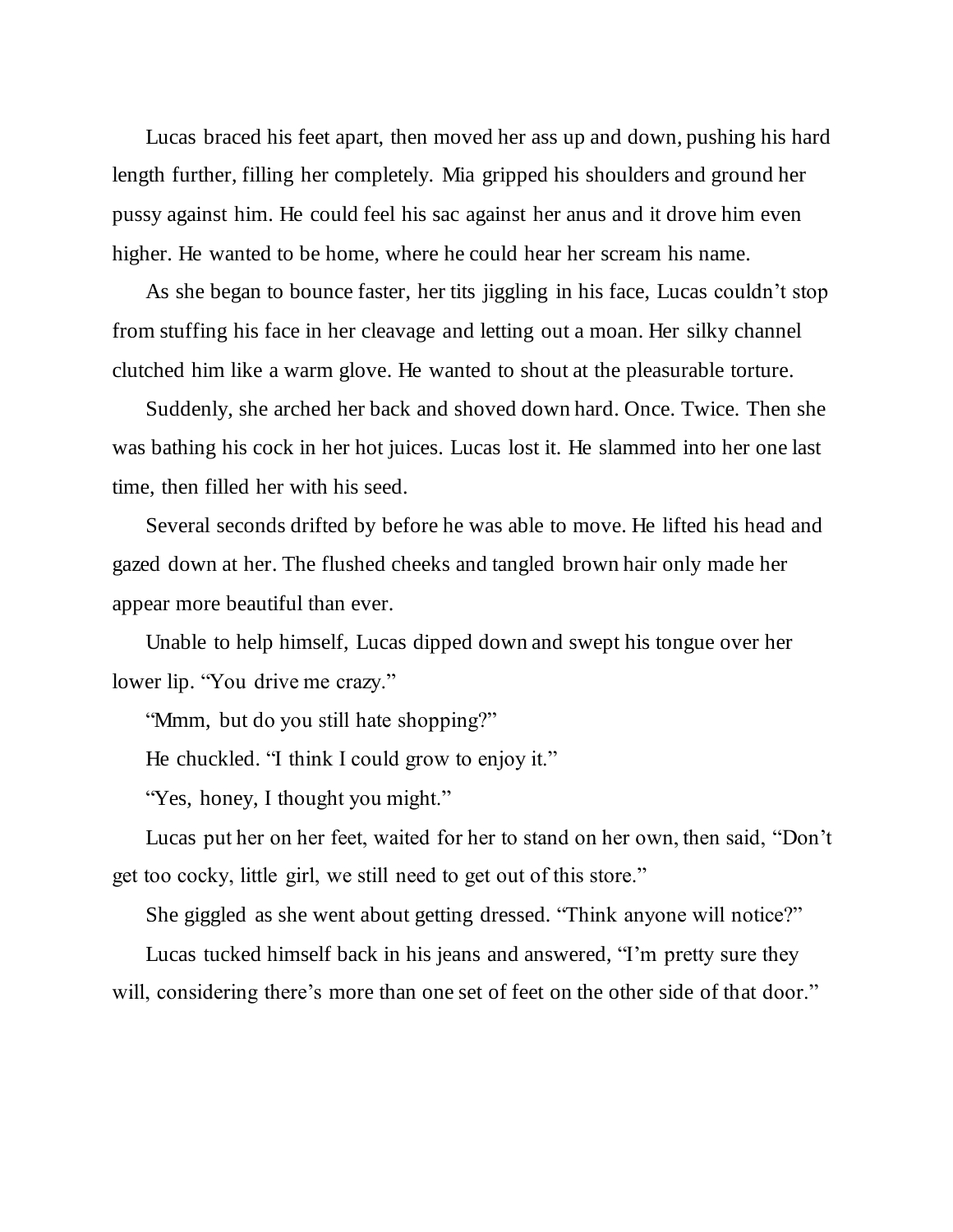Lucas braced his feet apart, then moved her ass up and down, pushing his hard length further, filling her completely. Mia gripped his shoulders and ground her pussy against him. He could feel his sac against her anus and it drove him even higher. He wanted to be home, where he could hear her scream his name.

As she began to bounce faster, her tits jiggling in his face, Lucas couldn't stop from stuffing his face in her cleavage and letting out a moan. Her silky channel clutched him like a warm glove. He wanted to shout at the pleasurable torture.

Suddenly, she arched her back and shoved down hard. Once. Twice. Then she was bathing his cock in her hot juices. Lucas lost it. He slammed into her one last time, then filled her with his seed.

Several seconds drifted by before he was able to move. He lifted his head and gazed down at her. The flushed cheeks and tangled brown hair only made her appear more beautiful than ever.

Unable to help himself, Lucas dipped down and swept his tongue over her lower lip. "You drive me crazy."

"Mmm, but do you still hate shopping?"

He chuckled. "I think I could grow to enjoy it."

"Yes, honey, I thought you might."

Lucas put her on her feet, waited for her to stand on her own, then said, "Don't get too cocky, little girl, we still need to get out of this store."

She giggled as she went about getting dressed. "Think anyone will notice?"

Lucas tucked himself back in his jeans and answered, "I'm pretty sure they will, considering there's more than one set of feet on the other side of that door."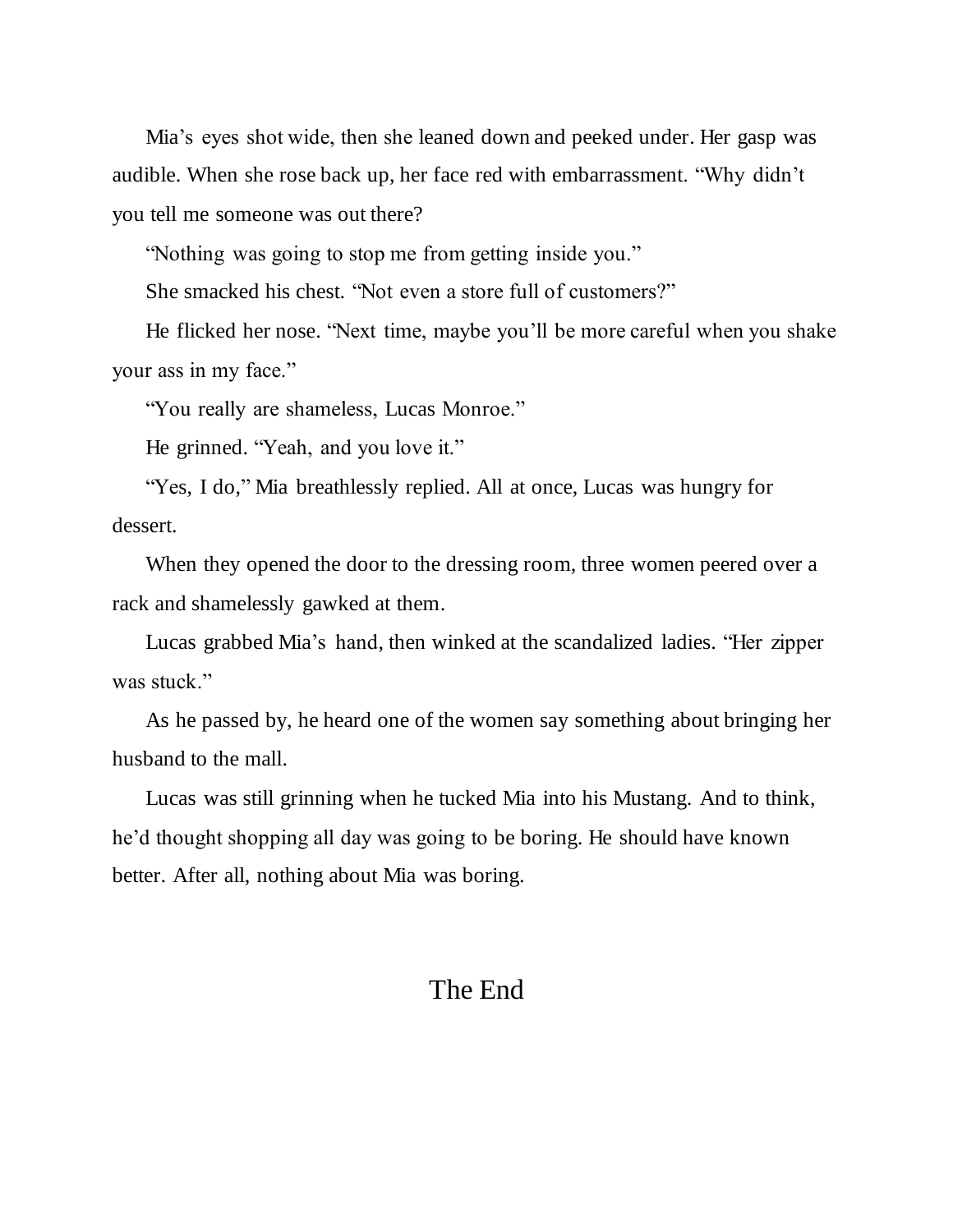Mia's eyes shot wide, then she leaned down and peeked under. Her gasp was audible. When she rose back up, her face red with embarrassment. "Why didn't you tell me someone was out there?

"Nothing was going to stop me from getting inside you."

She smacked his chest. "Not even a store full of customers?"

He flicked her nose. "Next time, maybe you'll be more careful when you shake your ass in my face."

"You really are shameless, Lucas Monroe."

He grinned. "Yeah, and you love it."

"Yes, I do," Mia breathlessly replied. All at once, Lucas was hungry for dessert.

When they opened the door to the dressing room, three women peered over a rack and shamelessly gawked at them.

Lucas grabbed Mia's hand, then winked at the scandalized ladies. "Her zipper was stuck."

As he passed by, he heard one of the women say something about bringing her husband to the mall.

Lucas was still grinning when he tucked Mia into his Mustang. And to think, he'd thought shopping all day was going to be boring. He should have known better. After all, nothing about Mia was boring.

## The End